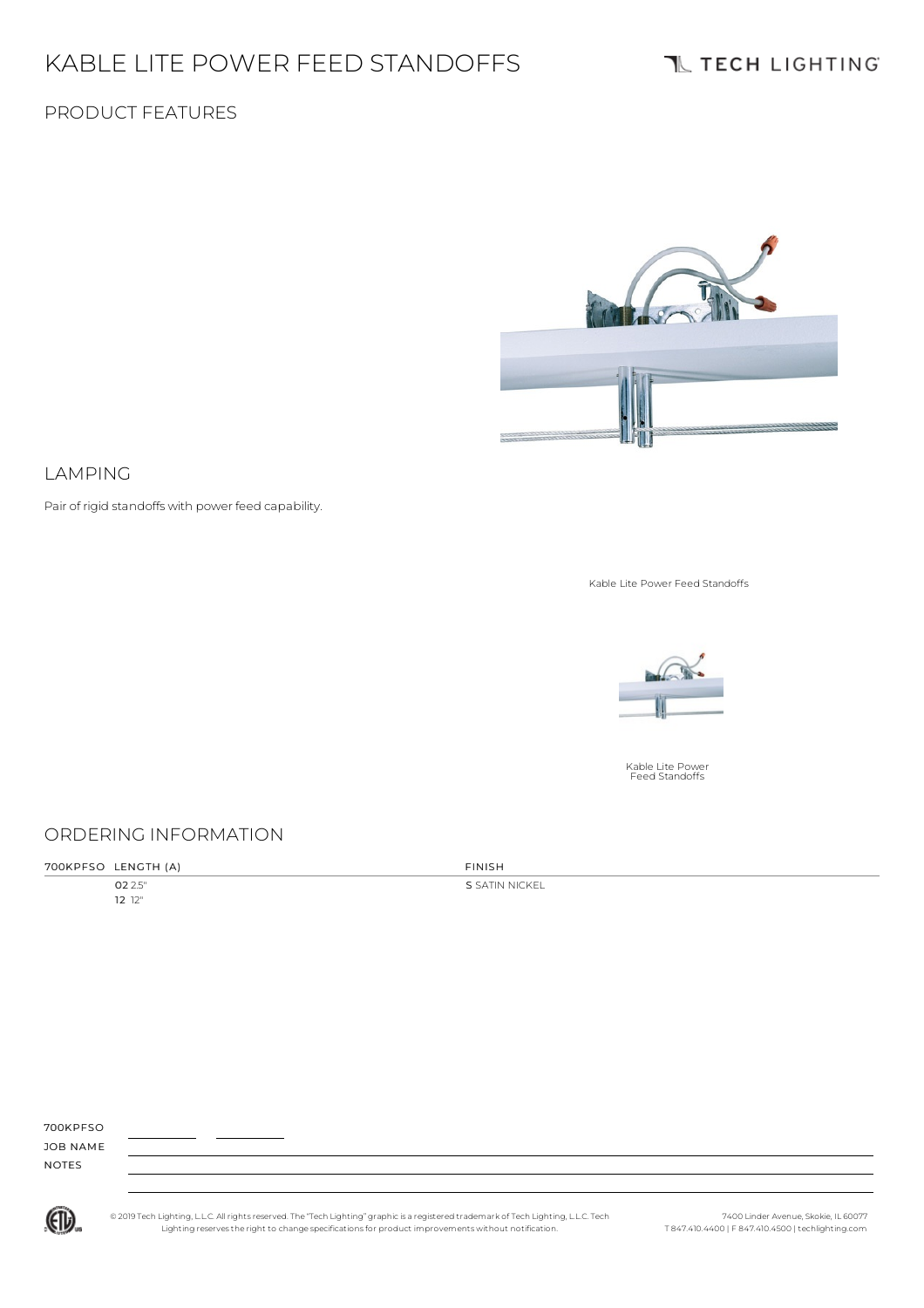# KABLE LITE POWER FEED STANDOFFS

### PRODUCT FEATURES



#### LAMPING

Pair of rigid standoffs with power feed capability.

Kable Lite Power Feed Standoffs



Kable Lite Power Feed Standoffs

### ORDERING INFORMATION

| 700KPFSO LENGTH (A) | <b>FINISH</b> |
|---------------------|---------------|

02 2.5" 12 12"

S SATIN NICKEL

700KPFSO

JOB NAME NOTES



© 2019 Tech Lighting, L.L.C. All rightsreserved. The "Tech Lighting" graphicis a registered trademark of Tech Lighting, L.L.C. Tech Lighting reservesthe right to change specificationsfor product improvements without notification.

7400 Linder Avenue, Skokie, IL 60077 T 847.410.4400 | F 847.410.4500 | techlighting.com